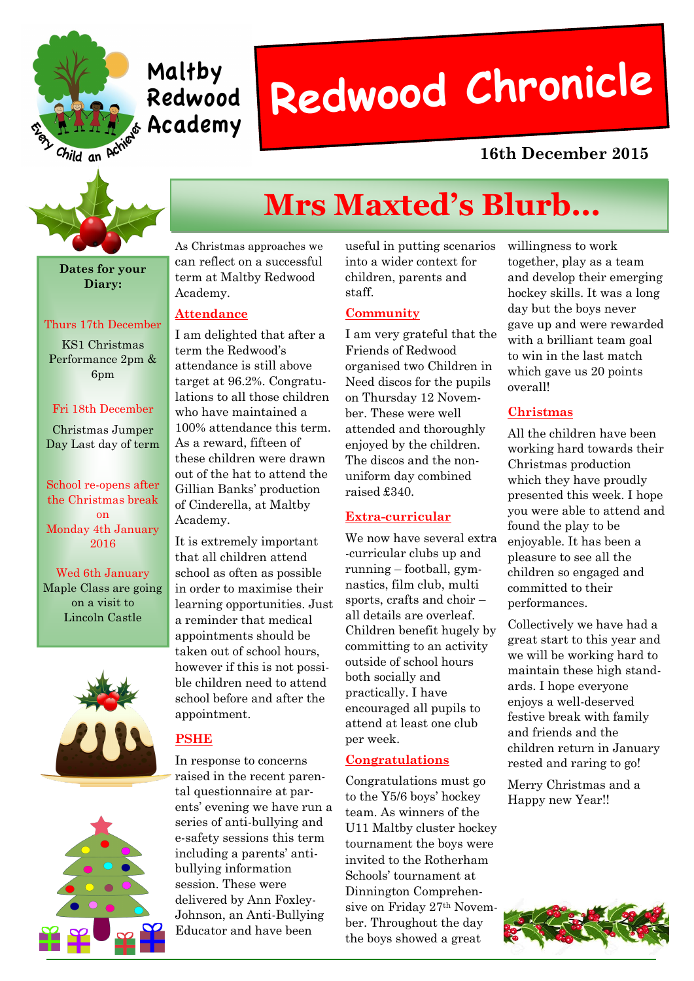

# Maltby Redwood

# **Redwood Chronicle**

### **16th December 2015**



**Dates for your Diary:**

#### Thurs 17th December

KS1 Christmas Performance 2pm & 6pm

#### Fri 18th December

Christmas Jumper Day Last day of term

School re-opens after the Christmas break on Monday 4th January 2016

Wed 6th January Maple Class are going on a visit to Lincoln Castle





### **Mrs Maxted's Blurb...**

As Christmas approaches we can reflect on a successful term at Maltby Redwood Academy.

#### **Attendance**

I am delighted that after a term the Redwood's attendance is still above target at 96.2%. Congratulations to all those children who have maintained a 100% attendance this term. As a reward, fifteen of these children were drawn out of the hat to attend the Gillian Banks' production of Cinderella, at Maltby Academy.

It is extremely important that all children attend school as often as possible in order to maximise their learning opportunities. Just a reminder that medical appointments should be taken out of school hours, however if this is not possible children need to attend school before and after the appointment.

#### **PSHE**

In response to concerns raised in the recent parental questionnaire at parents' evening we have run a series of anti-bullying and e-safety sessions this term including a parents' antibullying information session. These were delivered by Ann Foxley-Johnson, an Anti-Bullying Educator and have been

useful in putting scenarios into a wider context for children, parents and staff.

#### **Community**

I am very grateful that the Friends of Redwood organised two Children in Need discos for the pupils on Thursday 12 November. These were well attended and thoroughly enjoyed by the children. The discos and the nonuniform day combined raised £340.

#### **Extra-curricular**

We now have several extra -curricular clubs up and running – football, gymnastics, film club, multi sports, crafts and choir – all details are overleaf. Children benefit hugely by committing to an activity outside of school hours both socially and practically. I have encouraged all pupils to attend at least one club per week.

#### **Congratulations**

Congratulations must go to the Y5/6 boys' hockey team. As winners of the U11 Maltby cluster hockey tournament the boys were invited to the Rotherham Schools' tournament at Dinnington Comprehensive on Friday 27th November. Throughout the day the boys showed a great

willingness to work together, play as a team and develop their emerging hockey skills. It was a long day but the boys never gave up and were rewarded with a brilliant team goal to win in the last match which gave us 20 points overall!

#### **Christmas**

All the children have been working hard towards their Christmas production which they have proudly presented this week. I hope you were able to attend and found the play to be enjoyable. It has been a pleasure to see all the children so engaged and committed to their performances.

Collectively we have had a great start to this year and we will be working hard to maintain these high standards. I hope everyone enjoys a well-deserved festive break with family and friends and the children return in January rested and raring to go!

Merry Christmas and a Happy new Year!!